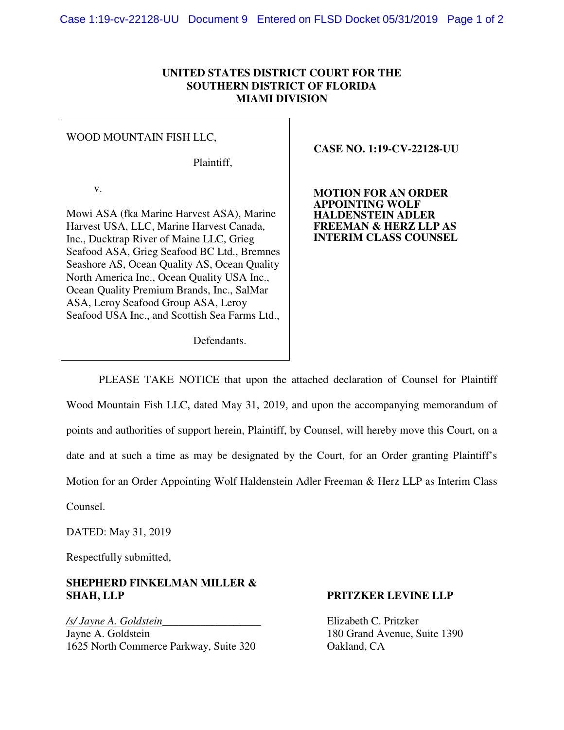## **UNITED STATES DISTRICT COURT FOR THE SOUTHERN DISTRICT OF FLORIDA MIAMI DIVISION**

### WOOD MOUNTAIN FISH LLC,

Plaintiff,

v.

Mowi ASA (fka Marine Harvest ASA), Marine Harvest USA, LLC, Marine Harvest Canada, Inc., Ducktrap River of Maine LLC, Grieg Seafood ASA, Grieg Seafood BC Ltd., Bremnes Seashore AS, Ocean Quality AS, Ocean Quality North America Inc., Ocean Quality USA Inc., Ocean Quality Premium Brands, Inc., SalMar ASA, Leroy Seafood Group ASA, Leroy Seafood USA Inc., and Scottish Sea Farms Ltd.,  **CASE NO. 1:19-CV-22128-UU** 

**MOTION FOR AN ORDER APPOINTING WOLF HALDENSTEIN ADLER FREEMAN & HERZ LLP AS INTERIM CLASS COUNSEL** 

Defendants.

PLEASE TAKE NOTICE that upon the attached declaration of Counsel for Plaintiff Wood Mountain Fish LLC, dated May 31, 2019, and upon the accompanying memorandum of points and authorities of support herein, Plaintiff, by Counsel, will hereby move this Court, on a date and at such a time as may be designated by the Court, for an Order granting Plaintiff's Motion for an Order Appointing Wolf Haldenstein Adler Freeman & Herz LLP as Interim Class

Counsel.

DATED: May 31, 2019

Respectfully submitted,

# **SHEPHERD FINKELMAN MILLER & SHAH, LLP PRITZKER LEVINE LLP**

*/s/ Jayne A. Goldstein\_\_\_\_\_\_\_\_\_\_\_\_\_\_\_\_\_\_* Elizabeth C. Pritzker Jayne A. Goldstein 180 Grand Avenue, Suite 1390 1625 North Commerce Parkway, Suite 320 Oakland, CA